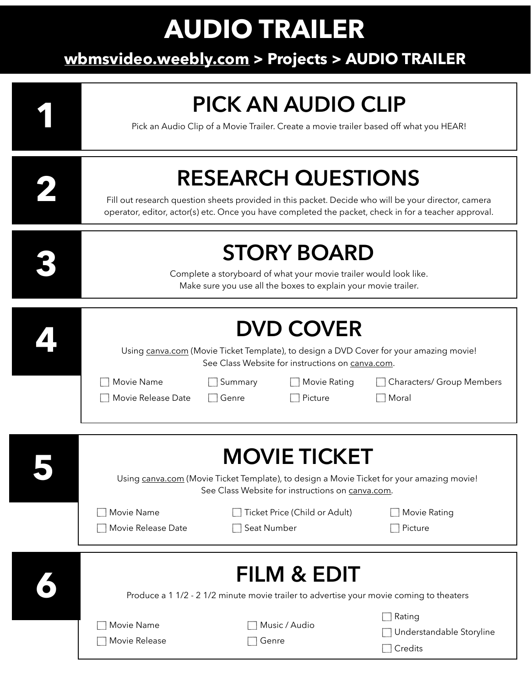# **AUDIO TRAILER**

#### $S_{\text{S}}$ **[wbmsvideo.weebly.com](http://wbmsvideo.weebly.com) > Projects > AUDIO TRAILER**

| <b>PICK AN AUDIO CLIP</b><br>Pick an Audio Clip of a Movie Trailer. Create a movie trailer based off what you HEAR!                                                                                                                      |                        |                               |                                                      |  |
|------------------------------------------------------------------------------------------------------------------------------------------------------------------------------------------------------------------------------------------|------------------------|-------------------------------|------------------------------------------------------|--|
| <b>RESEARCH QUESTIONS</b><br>Fill out research question sheets provided in this packet. Decide who will be your director, camera<br>operator, editor, actor(s) etc. Once you have completed the packet, check in for a teacher approval. |                        |                               |                                                      |  |
| <b>STORY BOARD</b><br>Complete a storyboard of what your movie trailer would look like.<br>Make sure you use all the boxes to explain your movie trailer.                                                                                |                        |                               |                                                      |  |
| <b>DVD COVER</b><br>Using canva.com (Movie Ticket Template), to design a DVD Cover for your amazing movie!<br>See Class Website for instructions on canva.com.<br>Movie Name<br>Characters/ Group Members<br>Summary<br>Movie Rating     |                        |                               |                                                      |  |
| Movie Release Date                                                                                                                                                                                                                       | Genre                  | Picture                       | $\Box$ Moral                                         |  |
| <b>MOVIE TICKET</b><br>Using canva.com (Movie Ticket Template), to design a Movie Ticket for your amazing movie!<br>See Class Website for instructions on canva.com.                                                                     |                        |                               |                                                      |  |
| Movie Name<br>Movie Release Date                                                                                                                                                                                                         | Seat Number            | Ticket Price (Child or Adult) | Movie Rating<br>Picture                              |  |
| <b>FILM &amp; EDIT</b><br>Produce a 1 1/2 - 2 1/2 minute movie trailer to advertise your movie coming to theaters                                                                                                                        |                        |                               |                                                      |  |
| Movie Name<br>Movie Release                                                                                                                                                                                                              | Music / Audio<br>Genre |                               | Rating<br>Understandable Storyline<br>$\Box$ Credits |  |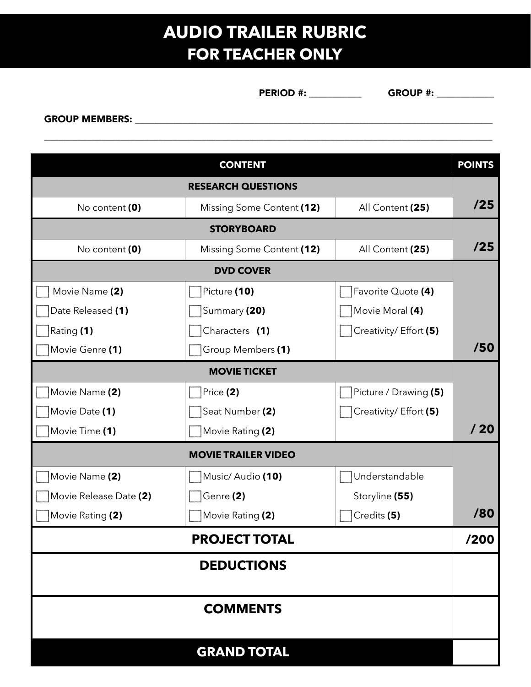#### **AUDIO TRAILER RUBRIC FOR TEACHER ONLY**

 $\overline{\phantom{a}}$  , and the contract of the contract of the contract of the contract of the contract of the contract of the contract of the contract of the contract of the contract of the contract of the contract of the contrac

PERIOD #: \_\_\_\_\_\_\_\_\_\_\_ GROUP #: \_\_\_\_\_\_\_\_\_\_\_\_

GROUP MEMBERS: \_\_\_\_\_\_\_\_\_\_\_\_\_\_\_\_\_\_\_\_\_\_\_\_\_\_\_\_\_\_\_\_\_\_\_\_\_\_\_\_\_\_\_\_\_\_\_\_\_\_\_\_\_\_\_\_\_\_\_\_\_\_\_\_\_\_\_\_\_\_\_\_\_\_\_

|                            | <b>CONTENT</b>            |                        | <b>POINTS</b> |  |  |
|----------------------------|---------------------------|------------------------|---------------|--|--|
|                            | <b>RESEARCH QUESTIONS</b> |                        |               |  |  |
| No content (0)             | Missing Some Content (12) | All Content (25)       | /25           |  |  |
| <b>STORYBOARD</b>          |                           |                        |               |  |  |
| No content (0)             | Missing Some Content (12) | All Content (25)       | /25           |  |  |
|                            | <b>DVD COVER</b>          |                        |               |  |  |
| Movie Name (2)             | Picture (10)              | Favorite Quote (4)     |               |  |  |
| Date Released (1)          | Summary (20)              | Movie Moral (4)        |               |  |  |
| Rating (1)                 | Characters (1)            | Creativity/ Effort (5) |               |  |  |
| Movie Genre (1)            | Group Members (1)         |                        | /50           |  |  |
|                            | <b>MOVIE TICKET</b>       |                        |               |  |  |
| Movie Name (2)             | Price (2)                 | Picture / Drawing (5)  |               |  |  |
| Movie Date (1)             | Seat Number (2)           | Creativity/ Effort (5) |               |  |  |
| Movie Time (1)             | Movie Rating (2)          |                        | /20           |  |  |
| <b>MOVIE TRAILER VIDEO</b> |                           |                        |               |  |  |
| Movie Name (2)             | Music/Audio (10)          | Understandable         |               |  |  |
| Movie Release Date (2)     | Genre (2)                 | Storyline (55)         |               |  |  |
| Movie Rating (2)           | Movie Rating (2)          | Credits (5)            | /80           |  |  |
| <b>PROJECT TOTAL</b>       |                           |                        |               |  |  |
|                            | <b>DEDUCTIONS</b>         |                        |               |  |  |
|                            | <b>COMMENTS</b>           |                        |               |  |  |
|                            | <b>GRAND TOTAL</b>        |                        |               |  |  |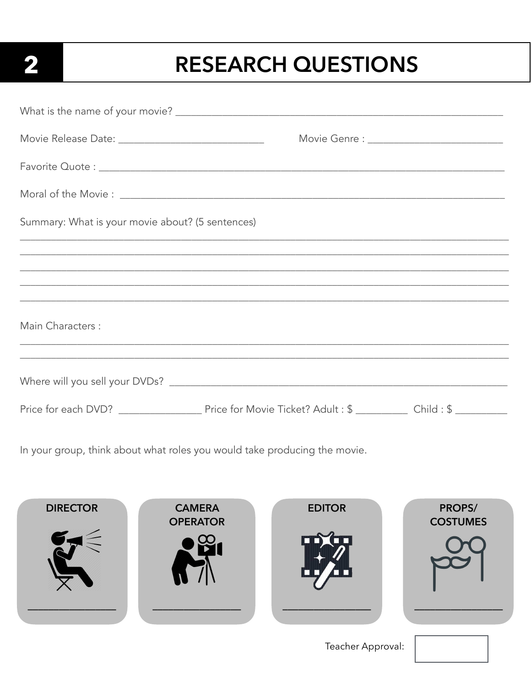## $\overline{\mathbf{2}}$

### **RESEARCH QUESTIONS**

| Movie Release Date: ___________________________________ |                                                      |  |
|---------------------------------------------------------|------------------------------------------------------|--|
|                                                         |                                                      |  |
|                                                         |                                                      |  |
| Summary: What is your movie about? (5 sentences)        |                                                      |  |
|                                                         |                                                      |  |
|                                                         |                                                      |  |
|                                                         |                                                      |  |
| Main Characters :                                       | <u> 1980 - Jan Barnett, fransk politik (d. 1980)</u> |  |
|                                                         |                                                      |  |
|                                                         |                                                      |  |
|                                                         |                                                      |  |

In your group, think about what roles you would take producing the movie.